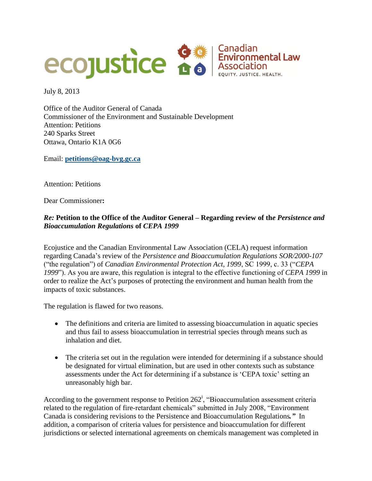

July 8, 2013

Office of the Auditor General of Canada Commissioner of the Environment and Sustainable Development Attention: Petitions 240 Sparks Street Ottawa, Ontario K1A 0G6

Email: **[petitions@oag-bvg.gc.ca](mailto:petitions@oag-bvg.gc.ca)**

Attention: Petitions

Dear Commissioner**:**

# *Re:* **Petition to the Office of the Auditor General – Regarding review of th***e Persistence and Bioaccumulation Regulations* **of** *CEPA 1999*

Ecojustice and the Canadian Environmental Law Association (CELA) request information regarding Canada's review of the *Persistence and Bioaccumulation Regulations SOR/2000-107*  ("the regulation") of *Canadian Environmental Protection Act, 1999*, SC 1999, c. 33 ("*CEPA 1999*"). As you are aware, this regulation is integral to the effective functioning of *CEPA 1999* in order to realize the Act's purposes of protecting the environment and human health from the impacts of toxic substances.

The regulation is flawed for two reasons.

- The definitions and criteria are limited to assessing bioaccumulation in aquatic species and thus fail to assess bioaccumulation in terrestrial species through means such as inhalation and diet.
- The criteria set out in the regulation were intended for determining if a substance should be designated for virtual elimination, but are used in other contexts such as substance assessments under the Act for determining if a substance is 'CEPA toxic' setting an unreasonably high bar.

According to the government response to Petition  $262^i$ , "Bioaccumulation assessment criteria related to the regulation of fire-retardant chemicals" submitted in July 2008, "Environment Canada is considering revisions to the Persistence and Bioaccumulation Regulations*."* In addition, a comparison of criteria values for persistence and bioaccumulation for different jurisdictions or selected international agreements on chemicals management was completed in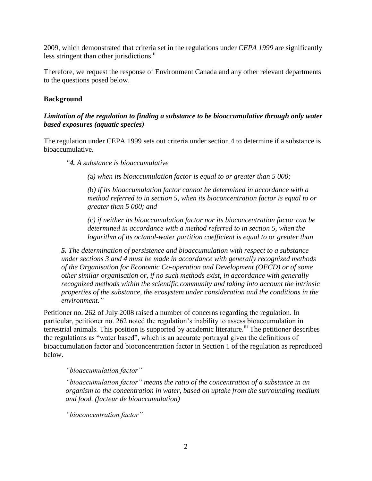2009, which demonstrated that criteria set in the regulations under *CEPA 1999* are significantly less stringent than other jurisdictions.<sup>ii</sup>

Therefore, we request the response of Environment Canada and any other relevant departments to the questions posed below.

### **Background**

### *Limitation of the regulation to finding a substance to be bioaccumulative through only water based exposures (aquatic species)*

The regulation under CEPA 1999 sets out criteria under section 4 to determine if a substance is bioaccumulative.

*"4. A substance is bioaccumulative*

*(*a*) when its bioaccumulation factor is equal to or greater than 5 000;*

*(*b*) if its bioaccumulation factor cannot be determined in accordance with a method referred to in section 5, when its bioconcentration factor is equal to or greater than 5 000; and*

*(*c*) if neither its bioaccumulation factor nor its bioconcentration factor can be determined in accordance with a method referred to in section 5, when the logarithm of its octanol-water partition coefficient is equal to or greater than* 

*5. The determination of persistence and bioaccumulation with respect to a substance under sections 3 and 4 must be made in accordance with generally recognized methods of the Organisation for Economic Co-operation and Development (OECD) or of some other similar organisation or, if no such methods exist, in accordance with generally recognized methods within the scientific community and taking into account the intrinsic properties of the substance, the ecosystem under consideration and the conditions in the environment."*

Petitioner no. 262 of July 2008 raised a number of concerns regarding the regulation. In particular, petitioner no. 262 noted the regulation's inability to assess bioaccumulation in terrestrial animals. This position is supported by academic literature.<sup>iii</sup> The petitioner describes the regulations as "water based", which is an accurate portrayal given the definitions of bioaccumulation factor and bioconcentration factor in Section 1 of the regulation as reproduced below.

*"bioaccumulation factor"*

*"bioaccumulation factor" means the ratio of the concentration of a substance in an organism to the concentration in water, based on uptake from the surrounding medium and food. (facteur de bioaccumulation)*

*"bioconcentration factor"*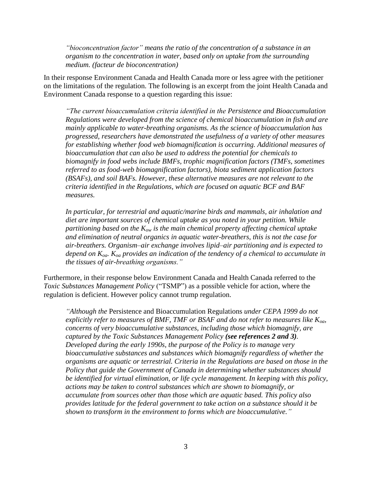*"bioconcentration factor" means the ratio of the concentration of a substance in an organism to the concentration in water, based only on uptake from the surrounding medium. (facteur de bioconcentration)*

In their response Environment Canada and Health Canada more or less agree with the petitioner on the limitations of the regulation. The following is an excerpt from the joint Health Canada and Environment Canada response to a question regarding this issue:

*"The current bioaccumulation criteria identified in the Persistence and Bioaccumulation Regulations were developed from the science of chemical bioaccumulation in fish and are mainly applicable to water-breathing organisms. As the science of bioaccumulation has progressed, researchers have demonstrated the usefulness of a variety of other measures for establishing whether food web biomagnification is occurring. Additional measures of bioaccumulation that can also be used to address the potential for chemicals to biomagnify in food webs include BMFs, trophic magnification factors (TMFs, sometimes referred to as food-web biomagnification factors), biota sediment application factors (BSAFs), and soil BAFs. However, these alternative measures are not relevant to the criteria identified in the Regulations, which are focused on aquatic BCF and BAF measures.*

*In particular, for terrestrial and aquatic/marine birds and mammals, air inhalation and diet are important sources of chemical uptake as you noted in your petition. While partitioning based on the Kow is the main chemical property affecting chemical uptake and elimination of neutral organics in aquatic water-breathers, this is not the case for air-breathers. Organism–air exchange involves lipid–air partitioning and is expected to depend on Koa. Koa provides an indication of the tendency of a chemical to accumulate in the tissues of air-breathing organisms."*

Furthermore, in their response below Environment Canada and Health Canada referred to the *Toxic Substances Management Policy* ("TSMP") as a possible vehicle for action, where the regulation is deficient. However policy cannot trump regulation.

*"Although the* Persistence and Bioaccumulation Regulations *under CEPA 1999 do not explicitly refer to measures of BMF, TMF or BSAF and do not refer to measures like Koa, concerns of very bioaccumulative substances, including those which biomagnify, are captured by the Toxic Substances Management Policy (see references 2 and 3). Developed during the early 1990s, the purpose of the Policy is to manage very bioaccumulative substances and substances which biomagnify regardless of whether the organisms are aquatic or terrestrial. Criteria in the Regulations are based on those in the Policy that guide the Government of Canada in determining whether substances should be identified for virtual elimination, or life cycle management. In keeping with this policy, actions may be taken to control substances which are shown to biomagnify, or accumulate from sources other than those which are aquatic based. This policy also provides latitude for the federal government to take action on a substance should it be shown to transform in the environment to forms which are bioaccumulative."*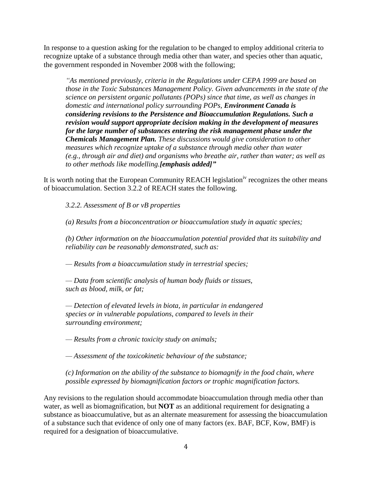In response to a question asking for the regulation to be changed to employ additional criteria to recognize uptake of a substance through media other than water, and species other than aquatic, the government responded in November 2008 with the following;

*"As mentioned previously, criteria in the Regulations under CEPA 1999 are based on those in the Toxic Substances Management Policy. Given advancements in the state of the science on persistent organic pollutants (POPs) since that time, as well as changes in domestic and international policy surrounding POPs, Environment Canada is considering revisions to the Persistence and Bioaccumulation Regulations. Such a revision would support appropriate decision making in the development of measures for the large number of substances entering the risk management phase under the Chemicals Management Plan. These discussions would give consideration to other measures which recognize uptake of a substance through media other than water (e.g., through air and diet) and organisms who breathe air, rather than water; as well as to other methods like modelling.[emphasis added]"*

It is worth noting that the European Community REACH legislation<sup>iv</sup> recognizes the other means of bioaccumulation. Section 3.2.2 of REACH states the following.

*3.2.2. Assessment of B or vB properties*

*(a) Results from a bioconcentration or bioaccumulation study in aquatic species;*

*(b) Other information on the bioaccumulation potential provided that its suitability and reliability can be reasonably demonstrated, such as:*

*— Results from a bioaccumulation study in terrestrial species;*

*— Data from scientific analysis of human body fluids or tissues, such as blood, milk, or fat;*

*— Detection of elevated levels in biota, in particular in endangered species or in vulnerable populations, compared to levels in their surrounding environment;*

*— Results from a chronic toxicity study on animals;*

*— Assessment of the toxicokinetic behaviour of the substance;*

*(c) Information on the ability of the substance to biomagnify in the food chain, where possible expressed by biomagnification factors or trophic magnification factors.*

Any revisions to the regulation should accommodate bioaccumulation through media other than water, as well as biomagnification, but **NOT** as an additional requirement for designating a substance as bioaccumulative, but as an alternate measurement for assessing the bioaccumulation of a substance such that evidence of only one of many factors (ex. BAF, BCF, Kow, BMF) is required for a designation of bioaccumulative.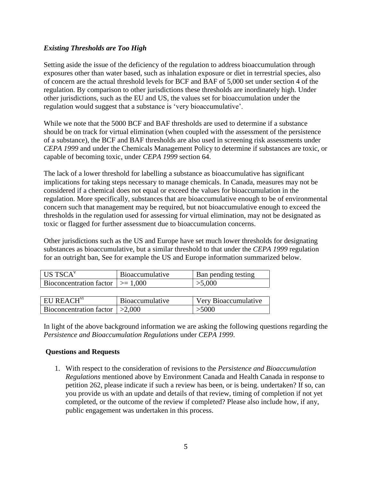## *Existing Thresholds are Too High*

Setting aside the issue of the deficiency of the regulation to address bioaccumulation through exposures other than water based, such as inhalation exposure or diet in terrestrial species, also of concern are the actual threshold levels for BCF and BAF of 5,000 set under section 4 of the regulation. By comparison to other jurisdictions these thresholds are inordinately high. Under other jurisdictions, such as the EU and US, the values set for bioaccumulation under the regulation would suggest that a substance is 'very bioaccumulative'.

While we note that the 5000 BCF and BAF thresholds are used to determine if a substance should be on track for virtual elimination (when coupled with the assessment of the persistence of a substance), the BCF and BAF thresholds are also used in screening risk assessments under *CEPA 1999* and under the Chemicals Management Policy to determine if substances are toxic, or capable of becoming toxic, under *CEPA 1999* section 64.

The lack of a lower threshold for labelling a substance as bioaccumulative has significant implications for taking steps necessary to manage chemicals. In Canada, measures may not be considered if a chemical does not equal or exceed the values for bioaccumulation in the regulation. More specifically, substances that are bioaccumulative enough to be of environmental concern such that management may be required, but not bioaccumulative enough to exceed the thresholds in the regulation used for assessing for virtual elimination, may not be designated as toxic or flagged for further assessment due to bioaccumulation concerns.

Other jurisdictions such as the US and Europe have set much lower thresholds for designating substances as bioaccumulative, but a similar threshold to that under the *CEPA 1999* regulation for an outright ban, See for example the US and Europe information summarized below.

| US TSCA $v$                        | <b>Bioaccumulative</b> | Ban pending testing  |
|------------------------------------|------------------------|----------------------|
| Bioconcentration factor $ >=1,000$ |                        | >5,000               |
|                                    |                        |                      |
| EU REACH <sup>V1</sup>             | <b>Bioaccumulative</b> | Very Bioaccumulative |
| Bioconcentration factor $  >2,000$ |                        | >5000                |

In light of the above background information we are asking the following questions regarding the *Persistence and Bioaccumulation Regulations* under *CEPA 1999*.

#### **Questions and Requests**

1. With respect to the consideration of revisions to the *Persistence and Bioaccumulation Regulations* mentioned above by Environment Canada and Health Canada in response to petition 262, please indicate if such a review has been, or is being. undertaken? If so, can you provide us with an update and details of that review, timing of completion if not yet completed, or the outcome of the review if completed? Please also include how, if any, public engagement was undertaken in this process.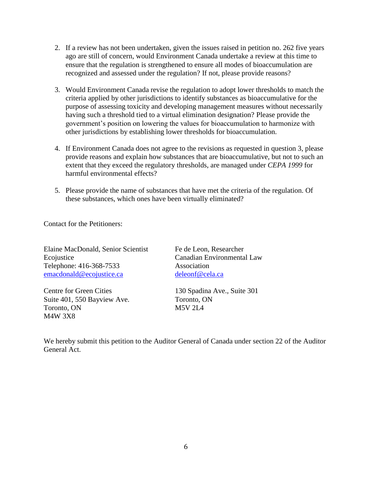- 2. If a review has not been undertaken, given the issues raised in petition no. 262 five years ago are still of concern, would Environment Canada undertake a review at this time to ensure that the regulation is strengthened to ensure all modes of bioaccumulation are recognized and assessed under the regulation? If not, please provide reasons?
- 3. Would Environment Canada revise the regulation to adopt lower thresholds to match the criteria applied by other jurisdictions to identify substances as bioaccumulative for the purpose of assessing toxicity and developing management measures without necessarily having such a threshold tied to a virtual elimination designation? Please provide the government's position on lowering the values for bioaccumulation to harmonize with other jurisdictions by establishing lower thresholds for bioaccumulation.
- 4. If Environment Canada does not agree to the revisions as requested in question 3, please provide reasons and explain how substances that are bioaccumulative, but not to such an extent that they exceed the regulatory thresholds, are managed under *CEPA 1999* for harmful environmental effects?
- 5. Please provide the name of substances that have met the criteria of the regulation. Of these substances, which ones have been virtually eliminated?

Contact for the Petitioners:

Elaine MacDonald, Senior Scientist Fe de Leon, Researcher Ecojustice Canadian Environmental Law Telephone: 416-368-7533 Association [emacdonald@ecojustice.ca](mailto:emacdonald@ecojustice.ca) [deleonf@cela.ca](mailto:deleonf@cela.ca)

Suite 401, 550 Bayview Ave. Toronto, ON Toronto, ON M5V 2L4 M4W 3X8

Centre for Green Cities 130 Spadina Ave., Suite 301

We hereby submit this petition to the Auditor General of Canada under section 22 of the Auditor General Act.